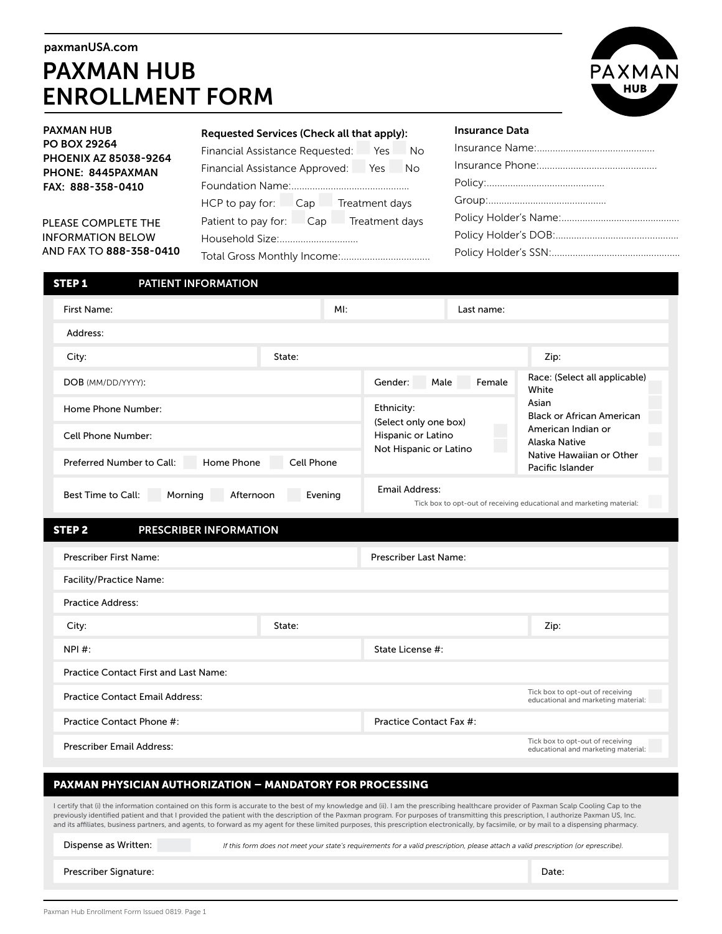#### paxmanUSA.com

# PAXMAN HUB ENROLLMENT FORM



| <b>PAXMAN HUB</b><br><b>PO BOX 29264</b><br><b>PHOENIX AZ 85038-9264</b><br>PHONE: 8445PAXMAN<br>FAX: 888-358-0410 | Requested Services (Check all that apply): | <b>Insurance Data</b> |  |  |  |
|--------------------------------------------------------------------------------------------------------------------|--------------------------------------------|-----------------------|--|--|--|
|                                                                                                                    | Financial Assistance Requested:  Yes  No   |                       |  |  |  |
|                                                                                                                    | Financial Assistance Approved: Yes No      |                       |  |  |  |
|                                                                                                                    |                                            |                       |  |  |  |
| PLEASE COMPLETE THE                                                                                                | HCP to pay for: Cap Treatment days         |                       |  |  |  |
|                                                                                                                    | Patient to pay for: Cap Treatment days     |                       |  |  |  |
| <b>INFORMATION BELOW</b>                                                                                           |                                            |                       |  |  |  |
| AND FAX TO 888-358-0410                                                                                            | Total Gross Monthly Income:                |                       |  |  |  |

| PATIENT INFORMATION<br><b>STEP1</b>                                            |                  |                                     |        |                                                                         |  |  |  |
|--------------------------------------------------------------------------------|------------------|-------------------------------------|--------|-------------------------------------------------------------------------|--|--|--|
| First Name:                                                                    | MI:              | Last name:                          |        |                                                                         |  |  |  |
| Address:                                                                       |                  |                                     |        |                                                                         |  |  |  |
| City:                                                                          | State:           |                                     |        | Zip:                                                                    |  |  |  |
| DOB (MM/DD/YYYY):                                                              |                  | Gender:<br>Male                     | Female | Race: (Select all applicable)<br>White                                  |  |  |  |
| Home Phone Number:                                                             |                  | Ethnicity:<br>(Select only one box) |        | Asian<br><b>Black or African American</b>                               |  |  |  |
| Cell Phone Number:                                                             |                  |                                     |        | American Indian or<br>Alaska Native                                     |  |  |  |
| Home Phone<br>Preferred Number to Call:                                        | Cell Phone       | Not Hispanic or Latino              |        | Native Hawaiian or Other<br>Pacific Islander                            |  |  |  |
| <b>Email Address:</b><br>Best Time to Call:<br>Morning<br>Afternoon<br>Evening |                  |                                     |        | Tick box to opt-out of receiving educational and marketing material:    |  |  |  |
| <b>STEP 2</b><br>PRESCRIBER INFORMATION                                        |                  |                                     |        |                                                                         |  |  |  |
| Prescriber First Name:                                                         |                  | Prescriber Last Name:               |        |                                                                         |  |  |  |
| <b>Facility/Practice Name:</b>                                                 |                  |                                     |        |                                                                         |  |  |  |
| <b>Practice Address:</b>                                                       |                  |                                     |        |                                                                         |  |  |  |
| City:                                                                          | State:           |                                     |        | Zip:                                                                    |  |  |  |
| NPI #:                                                                         | State License #: |                                     |        |                                                                         |  |  |  |
| <b>Practice Contact First and Last Name:</b>                                   |                  |                                     |        |                                                                         |  |  |  |
| <b>Practice Contact Email Address:</b>                                         |                  |                                     |        | Tick box to opt-out of receiving<br>educational and marketing material: |  |  |  |
| Practice Contact Phone #:                                                      |                  | Practice Contact Fax #:             |        |                                                                         |  |  |  |
|                                                                                |                  |                                     |        |                                                                         |  |  |  |

Tick box to opt-out of receiving educational and marketing material:

### PAXMAN PHYSICIAN AUTHORIZATION – MANDATORY FOR PROCESSING

I certify that (i) the information contained on this form is accurate to the best of my knowledge and (ii). I am the prescribing healthcare provider of Paxman Scalp Cooling Cap to the previously identified patient and that I provided the patient with the description of the Paxman program. For purposes of transmitting this prescription, I authorize Paxman US, Inc. and its affiliates, business partners, and agents, to forward as my agent for these limited purposes, this prescription electronically, by facsimile, or by mail to a dispensing pharmacy.

| Dispense as Written: | If this form does not meet your state's requirements for a valid prescription, please attach a valid prescription (or eprescribe). |
|----------------------|------------------------------------------------------------------------------------------------------------------------------------|
|                      |                                                                                                                                    |

Prescriber Signature: Date: Date: Date: Date: Date: Date: Date: Date: Date: Date: Date: Date: Date: Date: Date: Date: Date: Date: Date: Date: Date: Date: Date: Date: Date: Date: Date: Date: Date: Date: Date: Date: Date: Da

Prescriber Email Address: